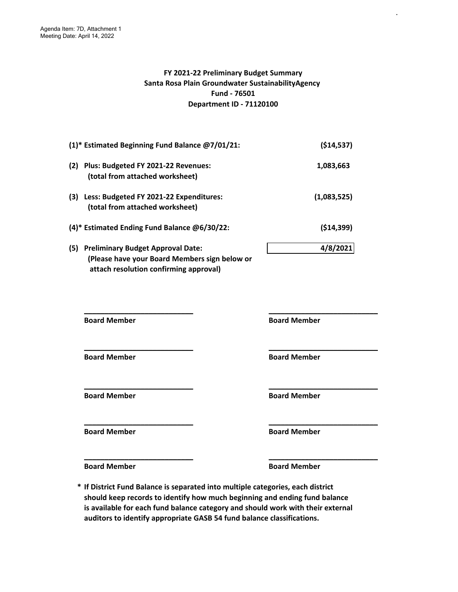#### **FY 2021-22 Preliminary Budget Summary Santa Rosa Plain Groundwater SustainabilityAgency Fund - 76501 Department ID - 71120100**

.

|     | (1)* Estimated Beginning Fund Balance @7/01/21:                                                                                     | (514, 537)  |
|-----|-------------------------------------------------------------------------------------------------------------------------------------|-------------|
| (2) | Plus: Budgeted FY 2021-22 Revenues:<br>(total from attached worksheet)                                                              | 1,083,663   |
| (3) | Less: Budgeted FY 2021-22 Expenditures:<br>(total from attached worksheet)                                                          | (1,083,525) |
|     | (4)* Estimated Ending Fund Balance @6/30/22:                                                                                        | (514, 399)  |
| (5) | <b>Preliminary Budget Approval Date:</b><br>(Please have your Board Members sign below or<br>attach resolution confirming approval) | 4/8/2021    |

**\_\_\_\_\_\_\_\_\_\_\_\_\_\_\_\_\_\_\_\_\_\_\_\_\_\_\_ \_\_\_\_\_\_\_\_\_\_\_\_\_\_\_\_\_\_\_\_\_\_\_\_\_\_\_ \_\_\_\_\_\_\_\_\_\_\_\_\_\_\_\_\_\_\_\_\_\_\_\_\_\_\_ \_\_\_\_\_\_\_\_\_\_\_\_\_\_\_\_\_\_\_\_\_\_\_\_\_\_\_ \_\_\_\_\_\_\_\_\_\_\_\_\_\_\_\_\_\_\_\_\_\_\_\_\_\_\_ \_\_\_\_\_\_\_\_\_\_\_\_\_\_\_\_\_\_\_\_\_\_\_\_\_\_\_ \_\_\_\_\_\_\_\_\_\_\_\_\_\_\_\_\_\_\_\_\_\_\_\_\_\_\_ \_\_\_\_\_\_\_\_\_\_\_\_\_\_\_\_\_\_\_\_\_\_\_\_\_\_\_ Board Member 6 and Member 3 and Member 3 and Member 3 and Member 3 and Member 3 and Member 3 and Member 3 and Member 3 and Member 3 and Member 3 and Member 3 and Member 3 and Member 3 and Member 3 and Member 3 and Member Board Member 6 Board Member 6 Board Member Board Member 6 and Member 3 and Member 3 and Member 3 and Member 3 and Member 3 and Member 3 and Member 3 and Member 3 and Member 3 and Member 3 and Member 3 and Member 3 and Member 3 and Member 3 and Member 3 and Member Board Member Board Member** 

**Board Member 6 Board Member 6 Board Member** 

**\* If District Fund Balance is separated into multiple categories, each district should keep records to identify how much beginning and ending fund balance is available for each fund balance category and should work with their external auditors to identify appropriate GASB 54 fund balance classifications.**

**\_\_\_\_\_\_\_\_\_\_\_\_\_\_\_\_\_\_\_\_\_\_\_\_\_\_\_ \_\_\_\_\_\_\_\_\_\_\_\_\_\_\_\_\_\_\_\_\_\_\_\_\_\_\_**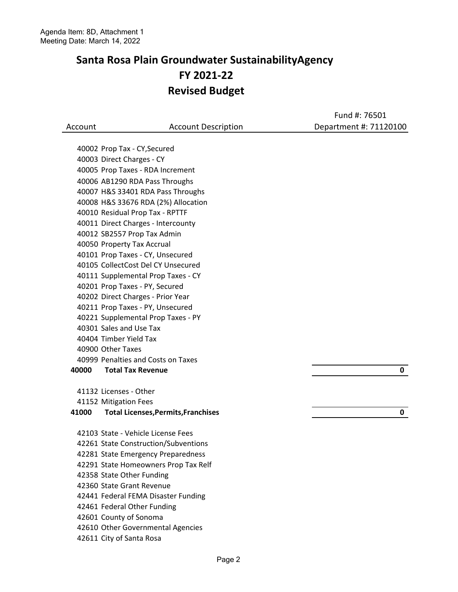|         |                                                                                                                                                                                                                                                                                                                                                                                                                                        | Fund #: 76501          |
|---------|----------------------------------------------------------------------------------------------------------------------------------------------------------------------------------------------------------------------------------------------------------------------------------------------------------------------------------------------------------------------------------------------------------------------------------------|------------------------|
| Account | <b>Account Description</b>                                                                                                                                                                                                                                                                                                                                                                                                             | Department #: 71120100 |
|         |                                                                                                                                                                                                                                                                                                                                                                                                                                        |                        |
|         | 40002 Prop Tax - CY, Secured                                                                                                                                                                                                                                                                                                                                                                                                           |                        |
|         | 40003 Direct Charges - CY                                                                                                                                                                                                                                                                                                                                                                                                              |                        |
|         | 40005 Prop Taxes - RDA Increment                                                                                                                                                                                                                                                                                                                                                                                                       |                        |
|         | 40006 AB1290 RDA Pass Throughs                                                                                                                                                                                                                                                                                                                                                                                                         |                        |
|         | 40007 H&S 33401 RDA Pass Throughs                                                                                                                                                                                                                                                                                                                                                                                                      |                        |
|         | 40008 H&S 33676 RDA (2%) Allocation                                                                                                                                                                                                                                                                                                                                                                                                    |                        |
|         | 40010 Residual Prop Tax - RPTTF                                                                                                                                                                                                                                                                                                                                                                                                        |                        |
|         | 40011 Direct Charges - Intercounty                                                                                                                                                                                                                                                                                                                                                                                                     |                        |
|         | 40012 SB2557 Prop Tax Admin                                                                                                                                                                                                                                                                                                                                                                                                            |                        |
|         | 40050 Property Tax Accrual                                                                                                                                                                                                                                                                                                                                                                                                             |                        |
|         | 40101 Prop Taxes - CY, Unsecured                                                                                                                                                                                                                                                                                                                                                                                                       |                        |
|         | 40105 CollectCost Del CY Unsecured                                                                                                                                                                                                                                                                                                                                                                                                     |                        |
|         | 40111 Supplemental Prop Taxes - CY                                                                                                                                                                                                                                                                                                                                                                                                     |                        |
|         | 40201 Prop Taxes - PY, Secured                                                                                                                                                                                                                                                                                                                                                                                                         |                        |
|         | 40202 Direct Charges - Prior Year                                                                                                                                                                                                                                                                                                                                                                                                      |                        |
|         | 40211 Prop Taxes - PY, Unsecured                                                                                                                                                                                                                                                                                                                                                                                                       |                        |
|         | 40221 Supplemental Prop Taxes - PY                                                                                                                                                                                                                                                                                                                                                                                                     |                        |
|         | 40301 Sales and Use Tax                                                                                                                                                                                                                                                                                                                                                                                                                |                        |
|         | 40404 Timber Yield Tax                                                                                                                                                                                                                                                                                                                                                                                                                 |                        |
|         | 40900 Other Taxes                                                                                                                                                                                                                                                                                                                                                                                                                      |                        |
|         | 40999 Penalties and Costs on Taxes                                                                                                                                                                                                                                                                                                                                                                                                     |                        |
| 40000   | <b>Total Tax Revenue</b>                                                                                                                                                                                                                                                                                                                                                                                                               | 0                      |
|         |                                                                                                                                                                                                                                                                                                                                                                                                                                        |                        |
|         |                                                                                                                                                                                                                                                                                                                                                                                                                                        |                        |
| 41000   | <b>Total Licenses, Permits, Franchises</b>                                                                                                                                                                                                                                                                                                                                                                                             | 0                      |
|         |                                                                                                                                                                                                                                                                                                                                                                                                                                        |                        |
|         |                                                                                                                                                                                                                                                                                                                                                                                                                                        |                        |
|         |                                                                                                                                                                                                                                                                                                                                                                                                                                        |                        |
|         |                                                                                                                                                                                                                                                                                                                                                                                                                                        |                        |
|         |                                                                                                                                                                                                                                                                                                                                                                                                                                        |                        |
|         |                                                                                                                                                                                                                                                                                                                                                                                                                                        |                        |
|         |                                                                                                                                                                                                                                                                                                                                                                                                                                        |                        |
|         |                                                                                                                                                                                                                                                                                                                                                                                                                                        |                        |
|         |                                                                                                                                                                                                                                                                                                                                                                                                                                        |                        |
|         |                                                                                                                                                                                                                                                                                                                                                                                                                                        |                        |
|         |                                                                                                                                                                                                                                                                                                                                                                                                                                        |                        |
|         | 41132 Licenses - Other<br>41152 Mitigation Fees<br>42103 State - Vehicle License Fees<br>42261 State Construction/Subventions<br>42281 State Emergency Preparedness<br>42291 State Homeowners Prop Tax Relf<br>42358 State Other Funding<br>42360 State Grant Revenue<br>42441 Federal FEMA Disaster Funding<br>42461 Federal Other Funding<br>42601 County of Sonoma<br>42610 Other Governmental Agencies<br>42611 City of Santa Rosa |                        |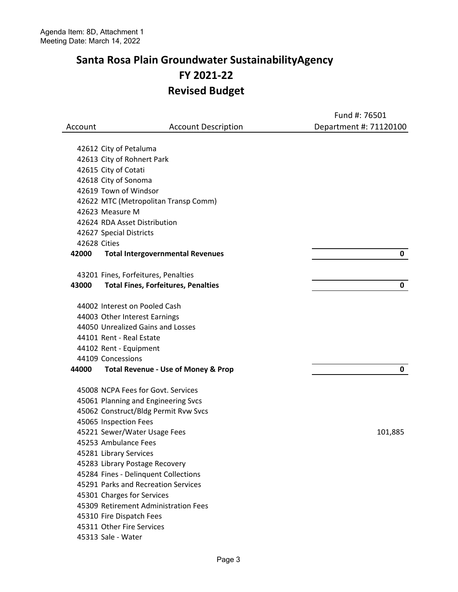|         |                                                                             | Fund #: 76501          |
|---------|-----------------------------------------------------------------------------|------------------------|
| Account | <b>Account Description</b>                                                  | Department #: 71120100 |
|         |                                                                             |                        |
|         | 42612 City of Petaluma                                                      |                        |
|         | 42613 City of Rohnert Park                                                  |                        |
|         | 42615 City of Cotati                                                        |                        |
|         | 42618 City of Sonoma                                                        |                        |
|         | 42619 Town of Windsor                                                       |                        |
|         | 42622 MTC (Metropolitan Transp Comm)                                        |                        |
|         | 42623 Measure M                                                             |                        |
|         | 42624 RDA Asset Distribution                                                |                        |
|         | 42627 Special Districts                                                     |                        |
|         | 42628 Cities                                                                |                        |
| 42000   | <b>Total Intergovernmental Revenues</b>                                     | 0                      |
|         | 43201 Fines, Forfeitures, Penalties                                         |                        |
| 43000   | <b>Total Fines, Forfeitures, Penalties</b>                                  | 0                      |
|         | 44002 Interest on Pooled Cash                                               |                        |
|         | 44003 Other Interest Earnings                                               |                        |
|         | 44050 Unrealized Gains and Losses                                           |                        |
|         | 44101 Rent - Real Estate                                                    |                        |
|         | 44102 Rent - Equipment                                                      |                        |
|         | 44109 Concessions                                                           |                        |
| 44000   | <b>Total Revenue - Use of Money &amp; Prop</b>                              | 0                      |
|         |                                                                             |                        |
|         | 45008 NCPA Fees for Govt. Services                                          |                        |
|         | 45061 Planning and Engineering Svcs                                         |                        |
|         | 45062 Construct/Bldg Permit Rvw Svcs                                        |                        |
|         | 45065 Inspection Fees                                                       |                        |
|         | 45221 Sewer/Water Usage Fees                                                | 101,885                |
|         | 45253 Ambulance Fees                                                        |                        |
|         | 45281 Library Services                                                      |                        |
|         | 45283 Library Postage Recovery                                              |                        |
|         | 45284 Fines - Delinquent Collections<br>45291 Parks and Recreation Services |                        |
|         | 45301 Charges for Services                                                  |                        |
|         | 45309 Retirement Administration Fees                                        |                        |
|         | 45310 Fire Dispatch Fees                                                    |                        |
|         | 45311 Other Fire Services                                                   |                        |
|         | 45313 Sale - Water                                                          |                        |
|         |                                                                             |                        |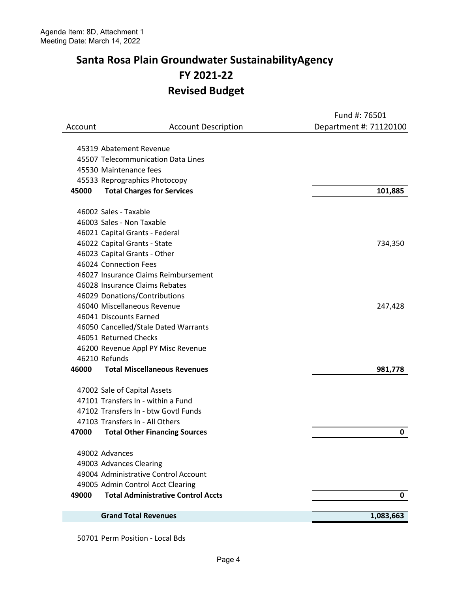|         |                                           | Fund #: 76501          |
|---------|-------------------------------------------|------------------------|
| Account | <b>Account Description</b>                | Department #: 71120100 |
|         |                                           |                        |
|         | 45319 Abatement Revenue                   |                        |
|         | 45507 Telecommunication Data Lines        |                        |
|         | 45530 Maintenance fees                    |                        |
|         | 45533 Reprographics Photocopy             |                        |
| 45000   | <b>Total Charges for Services</b>         | 101,885                |
|         | 46002 Sales - Taxable                     |                        |
|         | 46003 Sales - Non Taxable                 |                        |
|         | 46021 Capital Grants - Federal            |                        |
|         | 46022 Capital Grants - State              | 734,350                |
|         | 46023 Capital Grants - Other              |                        |
|         | 46024 Connection Fees                     |                        |
|         | 46027 Insurance Claims Reimbursement      |                        |
|         | 46028 Insurance Claims Rebates            |                        |
|         | 46029 Donations/Contributions             |                        |
|         | 46040 Miscellaneous Revenue               | 247,428                |
|         | 46041 Discounts Earned                    |                        |
|         | 46050 Cancelled/Stale Dated Warrants      |                        |
|         | 46051 Returned Checks                     |                        |
|         | 46200 Revenue Appl PY Misc Revenue        |                        |
|         | 46210 Refunds                             |                        |
| 46000   | <b>Total Miscellaneous Revenues</b>       | 981,778                |
|         | 47002 Sale of Capital Assets              |                        |
|         | 47101 Transfers In - within a Fund        |                        |
|         | 47102 Transfers In - btw Govtl Funds      |                        |
|         | 47103 Transfers In - All Others           |                        |
| 47000   | <b>Total Other Financing Sources</b>      | 0                      |
|         | 49002 Advances                            |                        |
|         | 49003 Advances Clearing                   |                        |
|         | 49004 Administrative Control Account      |                        |
|         | 49005 Admin Control Acct Clearing         |                        |
| 49000   | <b>Total Administrative Control Accts</b> | 0                      |
|         | <b>Grand Total Revenues</b>               | 1,083,663              |
|         |                                           |                        |

50701 Perm Position - Local Bds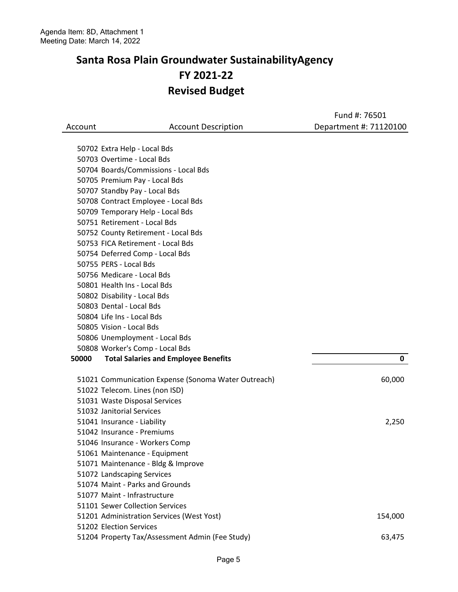|         |                                                     | Fund #: 76501          |
|---------|-----------------------------------------------------|------------------------|
| Account | <b>Account Description</b>                          | Department #: 71120100 |
|         |                                                     |                        |
|         | 50702 Extra Help - Local Bds                        |                        |
|         | 50703 Overtime - Local Bds                          |                        |
|         | 50704 Boards/Commissions - Local Bds                |                        |
|         | 50705 Premium Pay - Local Bds                       |                        |
|         | 50707 Standby Pay - Local Bds                       |                        |
|         | 50708 Contract Employee - Local Bds                 |                        |
|         | 50709 Temporary Help - Local Bds                    |                        |
|         | 50751 Retirement - Local Bds                        |                        |
|         | 50752 County Retirement - Local Bds                 |                        |
|         | 50753 FICA Retirement - Local Bds                   |                        |
|         | 50754 Deferred Comp - Local Bds                     |                        |
|         | 50755 PERS - Local Bds                              |                        |
|         | 50756 Medicare - Local Bds                          |                        |
|         | 50801 Health Ins - Local Bds                        |                        |
|         | 50802 Disability - Local Bds                        |                        |
|         | 50803 Dental - Local Bds                            |                        |
|         | 50804 Life Ins - Local Bds                          |                        |
|         | 50805 Vision - Local Bds                            |                        |
|         | 50806 Unemployment - Local Bds                      |                        |
|         | 50808 Worker's Comp - Local Bds                     |                        |
| 50000   | <b>Total Salaries and Employee Benefits</b>         | 0                      |
|         | 51021 Communication Expense (Sonoma Water Outreach) | 60,000                 |
|         | 51022 Telecom. Lines (non ISD)                      |                        |
|         | 51031 Waste Disposal Services                       |                        |
|         | 51032 Janitorial Services                           |                        |
|         | 51041 Insurance - Liability                         | 2,250                  |
|         | 51042 Insurance - Premiums                          |                        |
|         | 51046 Insurance - Workers Comp                      |                        |
|         | 51061 Maintenance - Equipment                       |                        |
|         | 51071 Maintenance - Bldg & Improve                  |                        |
|         | 51072 Landscaping Services                          |                        |
|         | 51074 Maint - Parks and Grounds                     |                        |
|         | 51077 Maint - Infrastructure                        |                        |
|         | 51101 Sewer Collection Services                     |                        |
|         | 51201 Administration Services (West Yost)           | 154,000                |
|         | 51202 Election Services                             |                        |
|         | 51204 Property Tax/Assessment Admin (Fee Study)     | 63,475                 |
|         |                                                     |                        |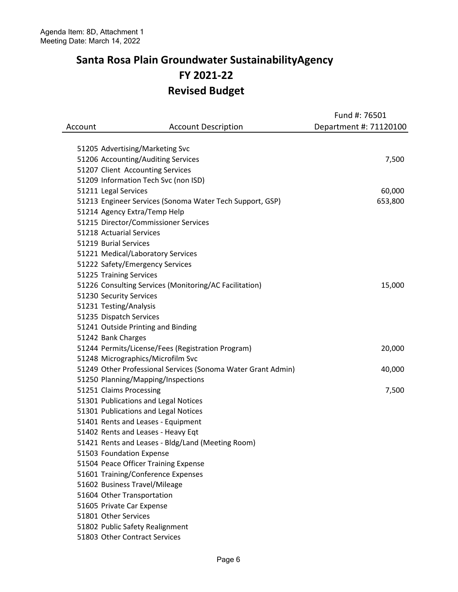|         |                                                              | Fund #: 76501          |
|---------|--------------------------------------------------------------|------------------------|
| Account | <b>Account Description</b>                                   | Department #: 71120100 |
|         |                                                              |                        |
|         | 51205 Advertising/Marketing Svc                              |                        |
|         | 51206 Accounting/Auditing Services                           | 7,500                  |
|         | 51207 Client Accounting Services                             |                        |
|         | 51209 Information Tech Svc (non ISD)                         |                        |
|         | 51211 Legal Services                                         | 60,000                 |
|         | 51213 Engineer Services (Sonoma Water Tech Support, GSP)     | 653,800                |
|         | 51214 Agency Extra/Temp Help                                 |                        |
|         | 51215 Director/Commissioner Services                         |                        |
|         | 51218 Actuarial Services                                     |                        |
|         | 51219 Burial Services                                        |                        |
|         | 51221 Medical/Laboratory Services                            |                        |
|         | 51222 Safety/Emergency Services                              |                        |
|         | 51225 Training Services                                      |                        |
|         | 51226 Consulting Services (Monitoring/AC Facilitation)       | 15,000                 |
|         | 51230 Security Services                                      |                        |
|         | 51231 Testing/Analysis                                       |                        |
|         | 51235 Dispatch Services                                      |                        |
|         | 51241 Outside Printing and Binding                           |                        |
|         | 51242 Bank Charges                                           |                        |
|         | 51244 Permits/License/Fees (Registration Program)            | 20,000                 |
|         | 51248 Micrographics/Microfilm Svc                            |                        |
|         | 51249 Other Professional Services (Sonoma Water Grant Admin) | 40,000                 |
|         | 51250 Planning/Mapping/Inspections                           |                        |
|         | 51251 Claims Processing                                      | 7,500                  |
|         | 51301 Publications and Legal Notices                         |                        |
|         | 51301 Publications and Legal Notices                         |                        |
|         | 51401 Rents and Leases - Equipment                           |                        |
|         | 51402 Rents and Leases - Heavy Eqt                           |                        |
|         | 51421 Rents and Leases - Bldg/Land (Meeting Room)            |                        |
|         | 51503 Foundation Expense                                     |                        |
|         | 51504 Peace Officer Training Expense                         |                        |
|         | 51601 Training/Conference Expenses                           |                        |
|         | 51602 Business Travel/Mileage                                |                        |
|         | 51604 Other Transportation                                   |                        |
|         | 51605 Private Car Expense                                    |                        |
|         | 51801 Other Services                                         |                        |
|         | 51802 Public Safety Realignment                              |                        |
|         | 51803 Other Contract Services                                |                        |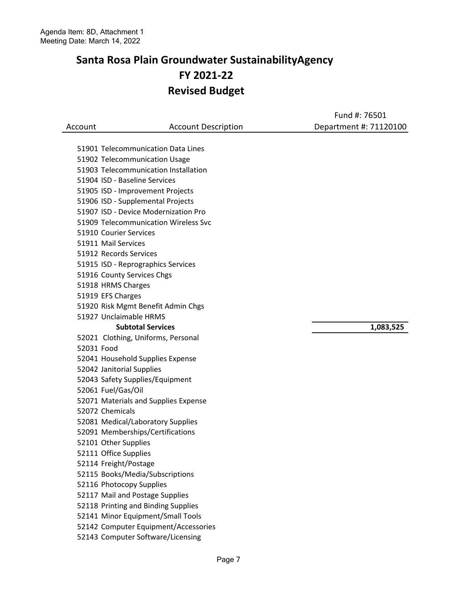|         |                                      | Fund #: 76501          |
|---------|--------------------------------------|------------------------|
| Account | <b>Account Description</b>           | Department #: 71120100 |
|         |                                      |                        |
|         | 51901 Telecommunication Data Lines   |                        |
|         | 51902 Telecommunication Usage        |                        |
|         | 51903 Telecommunication Installation |                        |
|         | 51904 ISD - Baseline Services        |                        |
|         | 51905 ISD - Improvement Projects     |                        |
|         | 51906 ISD - Supplemental Projects    |                        |
|         | 51907 ISD - Device Modernization Pro |                        |
|         | 51909 Telecommunication Wireless Svc |                        |
|         | 51910 Courier Services               |                        |
|         | 51911 Mail Services                  |                        |
|         | 51912 Records Services               |                        |
|         | 51915 ISD - Reprographics Services   |                        |
|         | 51916 County Services Chgs           |                        |
|         | 51918 HRMS Charges                   |                        |
|         | 51919 EFS Charges                    |                        |
|         | 51920 Risk Mgmt Benefit Admin Chgs   |                        |
|         | 51927 Unclaimable HRMS               |                        |
|         | <b>Subtotal Services</b>             | 1,083,525              |
|         | 52021 Clothing, Uniforms, Personal   |                        |
|         | 52031 Food                           |                        |
|         | 52041 Household Supplies Expense     |                        |
|         | 52042 Janitorial Supplies            |                        |
|         | 52043 Safety Supplies/Equipment      |                        |
|         | 52061 Fuel/Gas/Oil                   |                        |
|         | 52071 Materials and Supplies Expense |                        |
|         | 52072 Chemicals                      |                        |
|         | 52081 Medical/Laboratory Supplies    |                        |
|         | 52091 Memberships/Certifications     |                        |
|         | 52101 Other Supplies                 |                        |
|         | 52111 Office Supplies                |                        |
|         | 52114 Freight/Postage                |                        |
|         | 52115 Books/Media/Subscriptions      |                        |
|         | 52116 Photocopy Supplies             |                        |
|         | 52117 Mail and Postage Supplies      |                        |
|         | 52118 Printing and Binding Supplies  |                        |
|         | 52141 Minor Equipment/Small Tools    |                        |
|         | 52142 Computer Equipment/Accessories |                        |
|         | 52143 Computer Software/Licensing    |                        |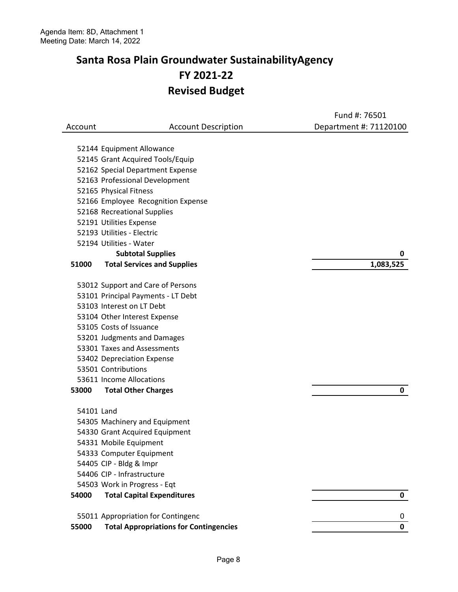|            |                                               | Fund #: 76501          |
|------------|-----------------------------------------------|------------------------|
| Account    | <b>Account Description</b>                    | Department #: 71120100 |
|            |                                               |                        |
|            | 52144 Equipment Allowance                     |                        |
|            | 52145 Grant Acquired Tools/Equip              |                        |
|            | 52162 Special Department Expense              |                        |
|            | 52163 Professional Development                |                        |
|            | 52165 Physical Fitness                        |                        |
|            | 52166 Employee Recognition Expense            |                        |
|            | 52168 Recreational Supplies                   |                        |
|            | 52191 Utilities Expense                       |                        |
|            | 52193 Utilities - Electric                    |                        |
|            | 52194 Utilities - Water                       |                        |
|            | <b>Subtotal Supplies</b>                      | 0                      |
| 51000      | <b>Total Services and Supplies</b>            | 1,083,525              |
|            | 53012 Support and Care of Persons             |                        |
|            | 53101 Principal Payments - LT Debt            |                        |
|            | 53103 Interest on LT Debt                     |                        |
|            | 53104 Other Interest Expense                  |                        |
|            | 53105 Costs of Issuance                       |                        |
|            | 53201 Judgments and Damages                   |                        |
|            | 53301 Taxes and Assessments                   |                        |
|            | 53402 Depreciation Expense                    |                        |
|            | 53501 Contributions                           |                        |
|            | 53611 Income Allocations                      |                        |
| 53000      | <b>Total Other Charges</b>                    | 0                      |
| 54101 Land |                                               |                        |
|            | 54305 Machinery and Equipment                 |                        |
|            | 54330 Grant Acquired Equipment                |                        |
|            | 54331 Mobile Equipment                        |                        |
|            | 54333 Computer Equipment                      |                        |
|            | 54405 CIP - Bldg & Impr                       |                        |
|            | 54406 CIP - Infrastructure                    |                        |
|            | 54503 Work in Progress - Eqt                  |                        |
| 54000      | <b>Total Capital Expenditures</b>             | 0                      |
|            |                                               |                        |
|            | 55011 Appropriation for Contingenc            | 0                      |
| 55000      | <b>Total Appropriations for Contingencies</b> | 0                      |